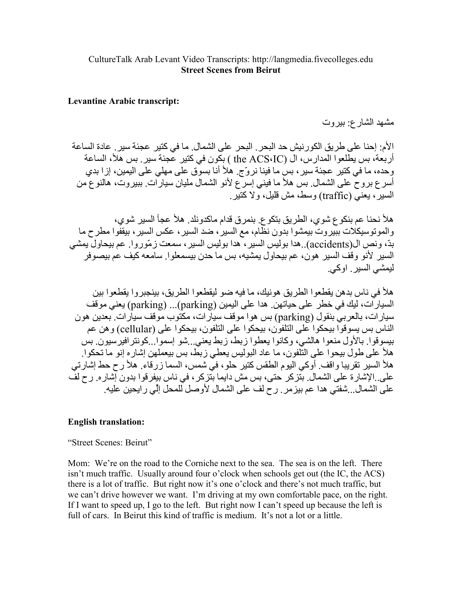## **Levantine Arabic transcript:**

مشهد الشارع: بيروت

الأم: إحنا على طريق الكورنيش حد البحر . البحر على الشمال. ما في كتير عجنَّة سير . عادة الساعة أربعة، بس يطلعوا المدارس، ال (the ACS،IC ) بكون في كتير عجنَة سير ٍ بس هلأ، الساعة وحده، ما في كتير ِ عجئة سير ، بس ما فينا نر وِّج. هلأ أنا بسوق على مهلي على اليمين، إز ا بدي أسرع بروح على الشمال ِ بس هلأ ما فيني إسرع لأنو الشمال مليان سيارات ِ ببيروت، هالنوع من السبر ، بعني (traffic) وسط، مش قلبل، و لا كتبر

هلأ نحنا عم بنكوع شوي، الطريق بتكوع. بنمرق قدام ماكدونلد. هلأ عجأ السير شوي، و المونوسيكلات ببير وتٌ بيمشو! بدون نظّام، مع السير ، ضد السير ، عكس السير ، بيقفو! مطر ح ما بدّ، ونص ال(accidents)..هدا بوليس السير ، هدا بوليس السير ، سمعت زمّوروا ٍ عم بيحاولّ بمشى السير لأنو وقف السير هون، عم بيحاول يمشيه، بس ما حدن بيسمعلوا ِ سامعه كيف عم بيصوفر ليمشي السير , او کي

هلأ في ناس بدهن يقطعو ا الطريق هو نيك، ما فيه ضو ليقطعو ا الطريق، بينجبر و ا يقطعو ا بين السيار ات، ليك في خطر على حياتهن. هدا على اليمين (parking)... (parking) يعني موقف سيارات، بالعربيّ بنقول (parking) بس هوا موقف سيارات، مكّتوب موقف سيارات تبعدين هون الناس بس بسو قو ا بيحكو ا علي النلفون، بيحكو ا علي النلفون، بيحكو ا علي (cellular) و هن عم بيسو قو ١. بالأول منعو ١ هالشي، وكانو ١ يعطو ١ ز بط، ز بط يعني . شو اسمو ١ . كو نتر افير سيو ن. بس ما على طولٌ بيحوا على التَّلفون، ما عاد البوليس يعطي زبط، بس بيعملهن إشاره إنو ما تحكوا. هلأ السير تقريبا واقف ِ أوكي اليوم الطقس كتير حلو، في شمس، السما زرقاء ِ هلأ رح حط إشارتي علي ِ الإشارة علي الشمال ِ بتزكر حتى، بس مش دايما بتزكر ، في ناس بيفر قوا بدون إشار ه ِ رح لف على الشمال...شفتي هدا عم بيز مر . رح لف على الشمال لأوصل للمحل إلِّي ر إيحين عليه.

## **English translation:**

"Street Scenes: Beirut"

Mom: We're on the road to the Corniche next to the sea. The sea is on the left. There isn't much traffic. Usually around four o'clock when schools get out (the IC, the ACS) there is a lot of traffic. But right now it's one o'clock and there's not much traffic, but we can't drive however we want. I'm driving at my own comfortable pace, on the right. If I want to speed up, I go to the left. But right now I can't speed up because the left is full of cars. In Beirut this kind of traffic is medium. It's not a lot or a little.